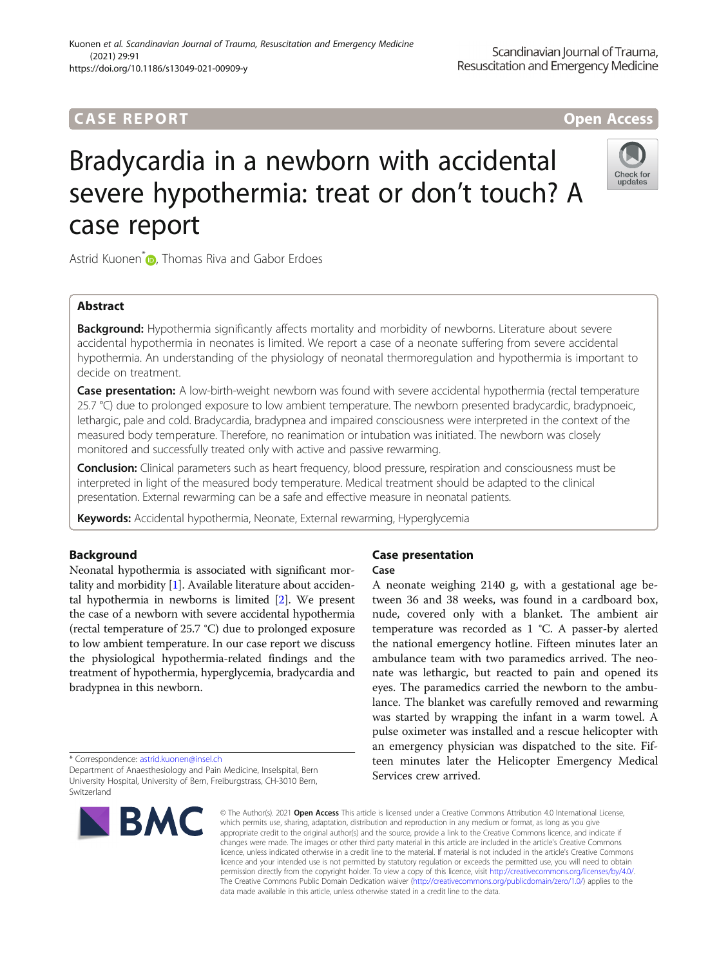## **CASE REPORT And The CASE REPORT** And The CASE ACCESS AND THE CASE ACCESS OPEN Access

# Bradycardia in a newborn with accidental severe hypothermia: treat or don't touch? A case report

Astrid Kuonen<sup>\*</sup> **D**[,](http://orcid.org/0000-0002-9752-9781) Thomas Riva and Gabor Erdoes

## Abstract

Background: Hypothermia significantly affects mortality and morbidity of newborns. Literature about severe accidental hypothermia in neonates is limited. We report a case of a neonate suffering from severe accidental hypothermia. An understanding of the physiology of neonatal thermoregulation and hypothermia is important to decide on treatment.

Case presentation: A low-birth-weight newborn was found with severe accidental hypothermia (rectal temperature 25.7 °C) due to prolonged exposure to low ambient temperature. The newborn presented bradycardic, bradypnoeic, lethargic, pale and cold. Bradycardia, bradypnea and impaired consciousness were interpreted in the context of the measured body temperature. Therefore, no reanimation or intubation was initiated. The newborn was closely monitored and successfully treated only with active and passive rewarming.

Conclusion: Clinical parameters such as heart frequency, blood pressure, respiration and consciousness must be interpreted in light of the measured body temperature. Medical treatment should be adapted to the clinical presentation. External rewarming can be a safe and effective measure in neonatal patients.

Keywords: Accidental hypothermia, Neonate, External rewarming, Hyperglycemia

## Background

Neonatal hypothermia is associated with significant mortality and morbidity [\[1\]](#page-3-0). Available literature about accidental hypothermia in newborns is limited [\[2\]](#page-3-0). We present the case of a newborn with severe accidental hypothermia (rectal temperature of 25.7 °C) due to prolonged exposure to low ambient temperature. In our case report we discuss the physiological hypothermia-related findings and the treatment of hypothermia, hyperglycemia, bradycardia and bradypnea in this newborn.

\* Correspondence: [astrid.kuonen@insel.ch](mailto:astrid.kuonen@insel.ch)

Department of Anaesthesiology and Pain Medicine, Inselspital, Bern University Hospital, University of Bern, Freiburgstrass, CH-3010 Bern, Switzerland

## Case presentation

### Case

A neonate weighing 2140 g, with a gestational age between 36 and 38 weeks, was found in a cardboard box, nude, covered only with a blanket. The ambient air temperature was recorded as 1 °C. A passer-by alerted the national emergency hotline. Fifteen minutes later an ambulance team with two paramedics arrived. The neonate was lethargic, but reacted to pain and opened its eyes. The paramedics carried the newborn to the ambulance. The blanket was carefully removed and rewarming was started by wrapping the infant in a warm towel. A pulse oximeter was installed and a rescue helicopter with an emergency physician was dispatched to the site. Fifteen minutes later the Helicopter Emergency Medical Services crew arrived.

© The Author(s), 2021 **Open Access** This article is licensed under a Creative Commons Attribution 4.0 International License, which permits use, sharing, adaptation, distribution and reproduction in any medium or format, as long as you give appropriate credit to the original author(s) and the source, provide a link to the Creative Commons licence, and indicate if changes were made. The images or other third party material in this article are included in the article's Creative Commons licence, unless indicated otherwise in a credit line to the material. If material is not included in the article's Creative Commons licence and your intended use is not permitted by statutory regulation or exceeds the permitted use, you will need to obtain permission directly from the copyright holder. To view a copy of this licence, visit [http://creativecommons.org/licenses/by/4.0/.](http://creativecommons.org/licenses/by/4.0/) The Creative Commons Public Domain Dedication waiver [\(http://creativecommons.org/publicdomain/zero/1.0/](http://creativecommons.org/publicdomain/zero/1.0/)) applies to the data made available in this article, unless otherwise stated in a credit line to the data.

**BMC** 





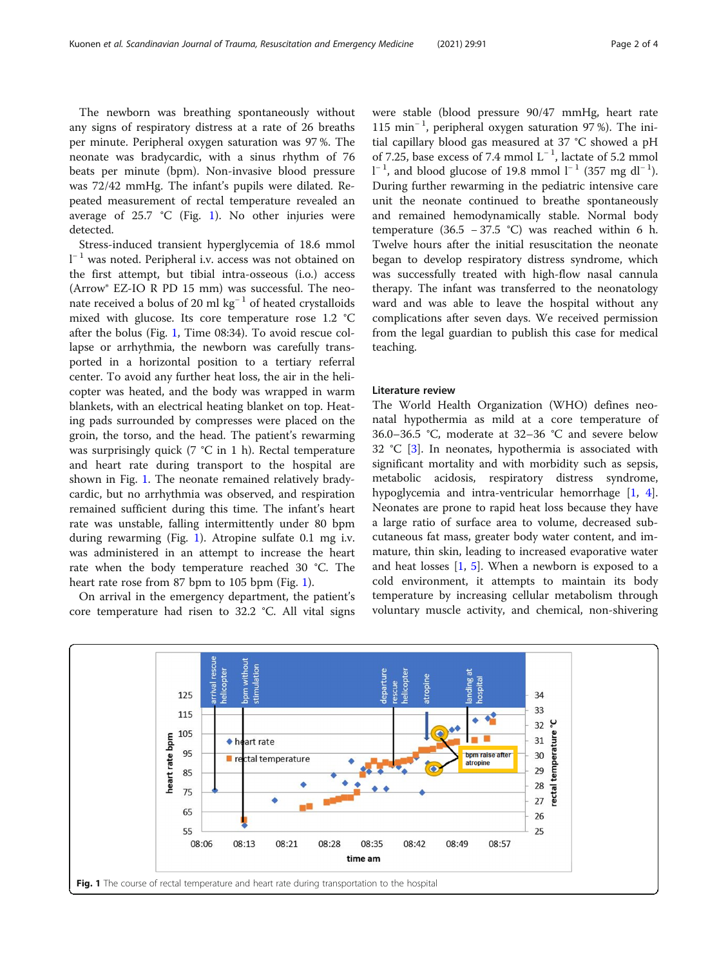<span id="page-1-0"></span>The newborn was breathing spontaneously without any signs of respiratory distress at a rate of 26 breaths per minute. Peripheral oxygen saturation was 97 %. The neonate was bradycardic, with a sinus rhythm of 76 beats per minute (bpm). Non-invasive blood pressure was 72/42 mmHg. The infant's pupils were dilated. Repeated measurement of rectal temperature revealed an average of  $25.7 \text{ °C}$  (Fig. 1). No other injuries were detected.

Stress-induced transient hyperglycemia of 18.6 mmol l <sup>−</sup> <sup>1</sup> was noted. Peripheral i.v. access was not obtained on the first attempt, but tibial intra-osseous (i.o.) access (Arrow® EZ-IO R PD 15 mm) was successful. The neonate received a bolus of 20 ml kg<sup>-1</sup> of heated crystalloids mixed with glucose. Its core temperature rose 1.2 °C after the bolus (Fig. 1, Time 08:34). To avoid rescue collapse or arrhythmia, the newborn was carefully transported in a horizontal position to a tertiary referral center. To avoid any further heat loss, the air in the helicopter was heated, and the body was wrapped in warm blankets, with an electrical heating blanket on top. Heating pads surrounded by compresses were placed on the groin, the torso, and the head. The patient's rewarming was surprisingly quick (7 °C in 1 h). Rectal temperature and heart rate during transport to the hospital are shown in Fig. 1. The neonate remained relatively bradycardic, but no arrhythmia was observed, and respiration remained sufficient during this time. The infant's heart rate was unstable, falling intermittently under 80 bpm during rewarming (Fig. 1). Atropine sulfate 0.1 mg i.v. was administered in an attempt to increase the heart rate when the body temperature reached 30 °C. The heart rate rose from 87 bpm to 105 bpm (Fig. 1).

On arrival in the emergency department, the patient's core temperature had risen to 32.2 °C. All vital signs were stable (blood pressure 90/47 mmHg, heart rate 115 min<sup>−</sup> <sup>1</sup> , peripheral oxygen saturation 97 %). The initial capillary blood gas measured at 37 °C showed a pH of 7.25, base excess of 7.4 mmol  $L^{-1}$ , lactate of 5.2 mmol  $l^{-1}$ , and blood glucose of 19.8 mmol  $l^{-1}$  (357 mg dl<sup>-1</sup>). During further rewarming in the pediatric intensive care unit the neonate continued to breathe spontaneously and remained hemodynamically stable. Normal body temperature (36.5 – 37.5 °C) was reached within 6 h. Twelve hours after the initial resuscitation the neonate began to develop respiratory distress syndrome, which was successfully treated with high-flow nasal cannula therapy. The infant was transferred to the neonatology ward and was able to leave the hospital without any complications after seven days. We received permission from the legal guardian to publish this case for medical teaching.

#### Literature review

The World Health Organization (WHO) defines neonatal hypothermia as mild at a core temperature of 36.0–36.5 °C, moderate at 32–36 °C and severe below 32 °C [\[3](#page-3-0)]. In neonates, hypothermia is associated with significant mortality and with morbidity such as sepsis, metabolic acidosis, respiratory distress syndrome, hypoglycemia and intra-ventricular hemorrhage [[1,](#page-3-0) [4](#page-3-0)]. Neonates are prone to rapid heat loss because they have a large ratio of surface area to volume, decreased subcutaneous fat mass, greater body water content, and immature, thin skin, leading to increased evaporative water and heat losses  $[1, 5]$  $[1, 5]$  $[1, 5]$  $[1, 5]$  $[1, 5]$ . When a newborn is exposed to a cold environment, it attempts to maintain its body temperature by increasing cellular metabolism through voluntary muscle activity, and chemical, non-shivering

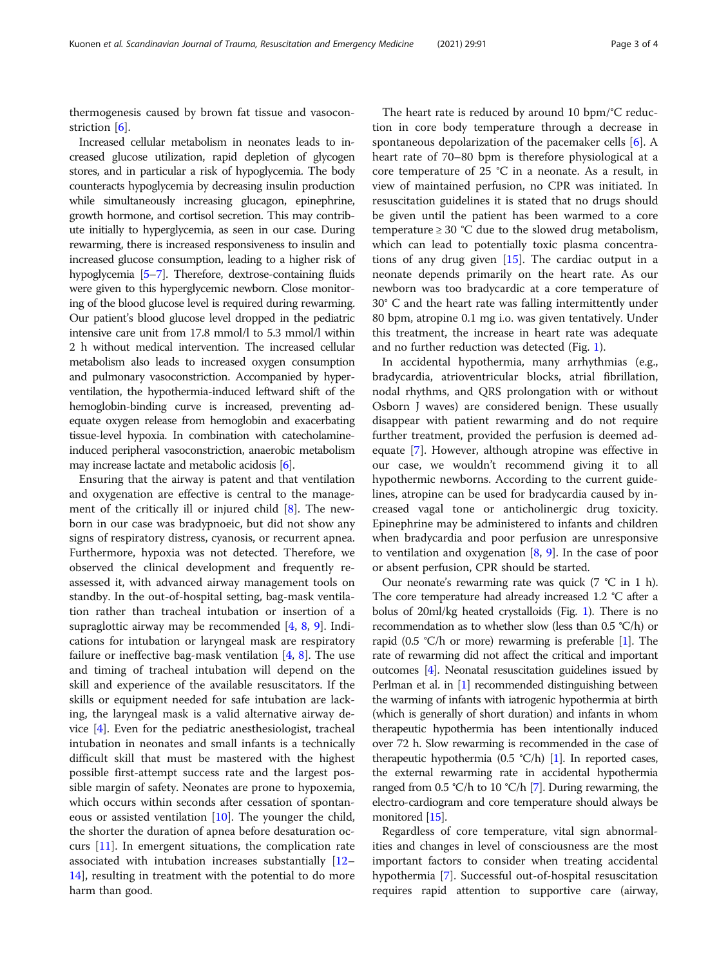thermogenesis caused by brown fat tissue and vasoconstriction [[6\]](#page-3-0).

Increased cellular metabolism in neonates leads to increased glucose utilization, rapid depletion of glycogen stores, and in particular a risk of hypoglycemia. The body counteracts hypoglycemia by decreasing insulin production while simultaneously increasing glucagon, epinephrine, growth hormone, and cortisol secretion. This may contribute initially to hyperglycemia, as seen in our case. During rewarming, there is increased responsiveness to insulin and increased glucose consumption, leading to a higher risk of hypoglycemia [\[5](#page-3-0)–[7\]](#page-3-0). Therefore, dextrose-containing fluids were given to this hyperglycemic newborn. Close monitoring of the blood glucose level is required during rewarming. Our patient's blood glucose level dropped in the pediatric intensive care unit from 17.8 mmol/l to 5.3 mmol/l within 2 h without medical intervention. The increased cellular metabolism also leads to increased oxygen consumption and pulmonary vasoconstriction. Accompanied by hyperventilation, the hypothermia-induced leftward shift of the hemoglobin-binding curve is increased, preventing adequate oxygen release from hemoglobin and exacerbating tissue-level hypoxia. In combination with catecholamineinduced peripheral vasoconstriction, anaerobic metabolism may increase lactate and metabolic acidosis [[6](#page-3-0)].

Ensuring that the airway is patent and that ventilation and oxygenation are effective is central to the management of the critically ill or injured child [\[8](#page-3-0)]. The newborn in our case was bradypnoeic, but did not show any signs of respiratory distress, cyanosis, or recurrent apnea. Furthermore, hypoxia was not detected. Therefore, we observed the clinical development and frequently reassessed it, with advanced airway management tools on standby. In the out-of-hospital setting, bag-mask ventilation rather than tracheal intubation or insertion of a supraglottic airway may be recommended [\[4,](#page-3-0) [8](#page-3-0), [9\]](#page-3-0). Indications for intubation or laryngeal mask are respiratory failure or ineffective bag-mask ventilation  $[4, 8]$  $[4, 8]$  $[4, 8]$  $[4, 8]$ . The use and timing of tracheal intubation will depend on the skill and experience of the available resuscitators. If the skills or equipment needed for safe intubation are lacking, the laryngeal mask is a valid alternative airway device [\[4](#page-3-0)]. Even for the pediatric anesthesiologist, tracheal intubation in neonates and small infants is a technically difficult skill that must be mastered with the highest possible first-attempt success rate and the largest possible margin of safety. Neonates are prone to hypoxemia, which occurs within seconds after cessation of spontaneous or assisted ventilation [\[10](#page-3-0)]. The younger the child, the shorter the duration of apnea before desaturation occurs [\[11\]](#page-3-0). In emergent situations, the complication rate associated with intubation increases substantially [[12](#page-3-0)– [14\]](#page-3-0), resulting in treatment with the potential to do more harm than good.

The heart rate is reduced by around 10 bpm/°C reduction in core body temperature through a decrease in spontaneous depolarization of the pacemaker cells [\[6](#page-3-0)]. A heart rate of 70–80 bpm is therefore physiological at a core temperature of 25 °C in a neonate. As a result, in view of maintained perfusion, no CPR was initiated. In resuscitation guidelines it is stated that no drugs should be given until the patient has been warmed to a core temperature  $\geq 30$  °C due to the slowed drug metabolism, which can lead to potentially toxic plasma concentrations of any drug given [[15](#page-3-0)]. The cardiac output in a neonate depends primarily on the heart rate. As our newborn was too bradycardic at a core temperature of 30° C and the heart rate was falling intermittently under 80 bpm, atropine 0.1 mg i.o. was given tentatively. Under this treatment, the increase in heart rate was adequate and no further reduction was detected (Fig. [1\)](#page-1-0).

In accidental hypothermia, many arrhythmias (e.g., bradycardia, atrioventricular blocks, atrial fibrillation, nodal rhythms, and QRS prolongation with or without Osborn J waves) are considered benign. These usually disappear with patient rewarming and do not require further treatment, provided the perfusion is deemed adequate [[7\]](#page-3-0). However, although atropine was effective in our case, we wouldn't recommend giving it to all hypothermic newborns. According to the current guidelines, atropine can be used for bradycardia caused by increased vagal tone or anticholinergic drug toxicity. Epinephrine may be administered to infants and children when bradycardia and poor perfusion are unresponsive to ventilation and oxygenation [[8,](#page-3-0) [9\]](#page-3-0). In the case of poor or absent perfusion, CPR should be started.

Our neonate's rewarming rate was quick (7 °C in 1 h). The core temperature had already increased 1.2 °C after a bolus of 20ml/kg heated crystalloids (Fig. [1](#page-1-0)). There is no recommendation as to whether slow (less than 0.5 °C/h) or rapid (0.5 °C/h or more) rewarming is preferable [\[1\]](#page-3-0). The rate of rewarming did not affect the critical and important outcomes [\[4\]](#page-3-0). Neonatal resuscitation guidelines issued by Perlman et al. in [\[1\]](#page-3-0) recommended distinguishing between the warming of infants with iatrogenic hypothermia at birth (which is generally of short duration) and infants in whom therapeutic hypothermia has been intentionally induced over 72 h. Slow rewarming is recommended in the case of therapeutic hypothermia (0.5 °C/h) [\[1\]](#page-3-0). In reported cases, the external rewarming rate in accidental hypothermia ranged from 0.5 °C/h to 10 °C/h [\[7](#page-3-0)]. During rewarming, the electro-cardiogram and core temperature should always be monitored [\[15\]](#page-3-0).

Regardless of core temperature, vital sign abnormalities and changes in level of consciousness are the most important factors to consider when treating accidental hypothermia [\[7](#page-3-0)]. Successful out-of-hospital resuscitation requires rapid attention to supportive care (airway,